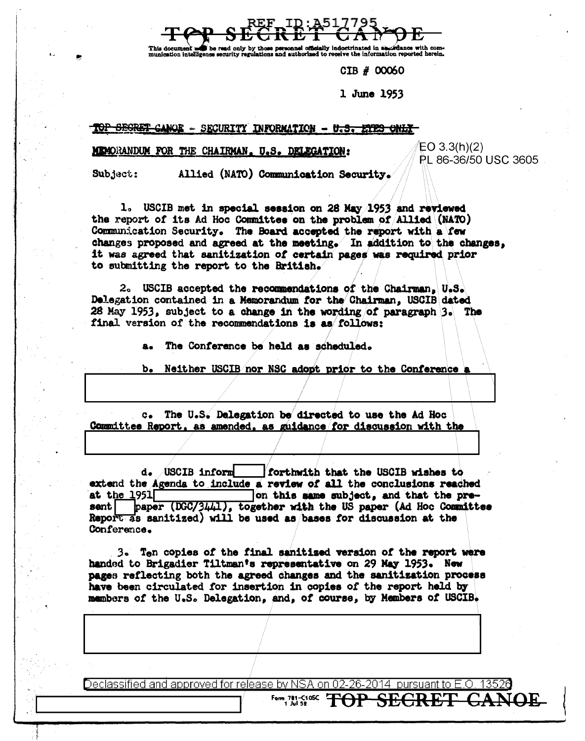This document li ha raad only hu information reported herein. aunication intelligence security

CIB # 00060

1 June 1953

TOP SECRET CANOE - SECURITY INFORMATION - U.S. ETES ONLY

## MEMORANDUM FOR THE CHAIRMAN. U.S. DELEGATION:

 $EO 3.3(h)(2)$ PL 86-36/50 USC 3605

Subject: Allied (NATO) Communication Security.

1. USCIB met in special session on 28 May 1953 and reviewed the report of its Ad Hoc Committee on the problem of Allied (NATO) Communication Security. The Board accepted the report with a few changes proposed and agreed at the meeting. In addition to the changes, it was agreed that sanitization of certain pages was required prior to submitting the report to the British.

2. USCIB accepted the recommendations of the Chairman, U.S. Delegation contained in a Memorandum for the Chairman. USCIB dated 28 May 1953, subject to a change in the wording of paragraph 3. The final version of the recommendations is as follows:

The Conference be held as scheduled.

Neither USCIB nor NSC adopt prior to the Conference a b.

c. The U.S. Delegation be directed to use the Ad Hoc Committee Report, as amended, as guidance for discussion with the

d. USCIB inform forthwith that the USCIB wishes to extend the Agenda to include a review of all the conclusions reached at the  $1951$ on this same subject, and that the prepaper (DGC/3441), together with the US paper (Ad Hoc Committee sent | Report as sanitized) will be used as bases for discussion at the Conference.

3. Ten copies of the final sanitized version of the report were handed to Brigadier Tiltman's representative on 29 May 1953. New pages reflecting both the agreed changes and the sanitization process have been circulated for insertion in copies of the report held by members of the U.S. Delegation, and, of course, by Members of USCIB.

Declassified and approved for release by NSA on 02-26-2014 pursuant to E.O. 13526

**Employer TOP SEGRET**